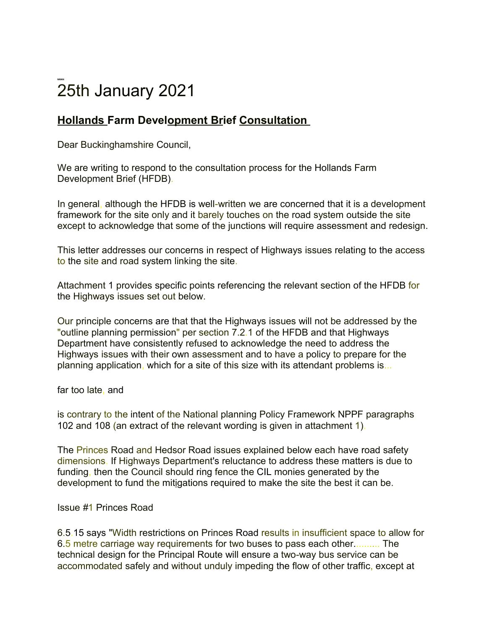# **NNNN**  25th January 2021

# **Hollands Farm Development Brief Consultation**

Dear Buckinghamshire Council,

We are writing to respond to the consultation process for the Hollands Farm Development Brief (HFDB).

In general, although the HFDB is well-written we are concerned that it is a development framework for the site only and it barely touches on the road system outside the site except to acknowledge that some of the junctions will require assessment and redesign.

This letter addresses our concerns in respect of Highways issues relating to the access to the site and road system linking the site.

Attachment 1 provides specific points referencing the relevant section of the HFDB for the Highways issues set out below.

Our principle concerns are that that the Highways issues will not be addressed by the "outline planning permission" per section 7.2.1 of the HFDB and that Highways Department have consistently refused to acknowledge the need to address the Highways issues with their own assessment and to have a policy to prepare for the planning application, which for a site of this size with its attendant problems is...

far too late, and

is contrary to the intent of the National planning Policy Framework NPPF paragraphs 102 and 108 (an extract of the relevant wording is given in attachment 1).

The Princes Road and Hedsor Road issues explained below each have road safety dimensions. If Highways Department's reluctance to address these matters is due to funding, then the Council should ring fence the CIL monies generated by the development to fund the mitigations required to make the site the best it can be.

## Issue *#*1 Princes Road

6.5.15 says "Width restrictions on Princes Road results in insufficient space to allow for 6.5 metre carriage way requirements for two buses to pass each other.......... The technical design for the Principal Route will ensure a two-way bus service can be accommodated safely and without unduly impeding the flow of other traffic, except at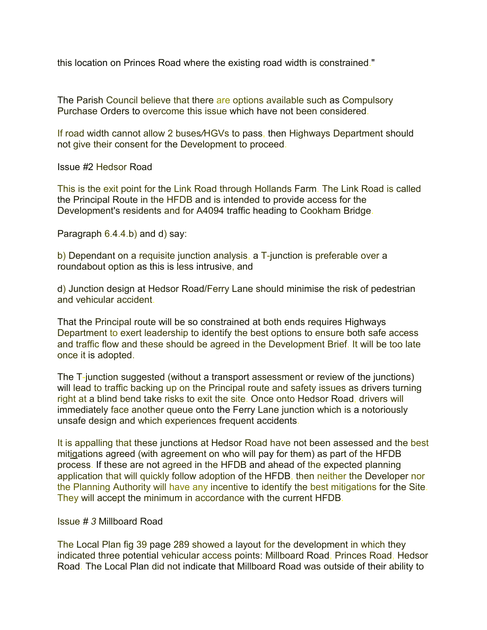this location on Princes Road where the existing road width is constrained."

The Parish Council believe that there are options available such as Compulsory Purchase Orders to overcome this issue which have not been considered.

If road width cannot allow 2 buses*/*HGVs to pass, then Highways Department should not give their consent for the Development to proceed.

Issue *#*2 Hedsor Road

This is the exit point for the Link Road through Hollands Farm. The Link Road is called the Principal Route in the HFDB and is intended to provide access for the Development's residents and for A4094 traffic heading to Cookham Bridge.

Paragraph 6.4.4.b) and d) say:

b) Dependant on a requisite junction analysis, a T-junction is preferable over a roundabout option as this is less intrusive, and

d) Junction design at Hedsor Road/Ferry Lane should minimise the risk of pedestrian and vehicular accident.

That the Principal route will be so constrained at both ends requires Highways Department to exert leadership to identify the best options to ensure both safe access and traffic flow and these should be agreed in the Development Brief. It will be too late once it is adopted.

The T-junction suggested (without a transport assessment or review of the junctions) will lead to traffic backing up on the Principal route and safety issues as drivers turning right at a blind bend take risks to exit the site. Once onto Hedsor Road, drivers will immediately face another queue onto the Ferry Lane junction which is a notoriously unsafe design and which experiences frequent accidents.

It is appalling that these junctions at Hedsor Road have not been assessed and the best mitigations agreed (with agreement on who will pay for them) as part of the HFDB process. If these are not agreed in the HFDB and ahead of the expected planning application that will quickly follow adoption of the HFDB, then neither the Developer nor the Planning Authority will have any incentive to identify the best mitigations for the Site. They will accept the minimum in accordance with the current HFDB.

#### Issue *# 3* Millboard Road

The Local Plan fig 39 page 289 showed a layout for the development in which they indicated three potential vehicular access points: Millboard Road, Princes Road, Hedsor Road. The Local Plan did not indicate that Millboard Road was outside of their ability to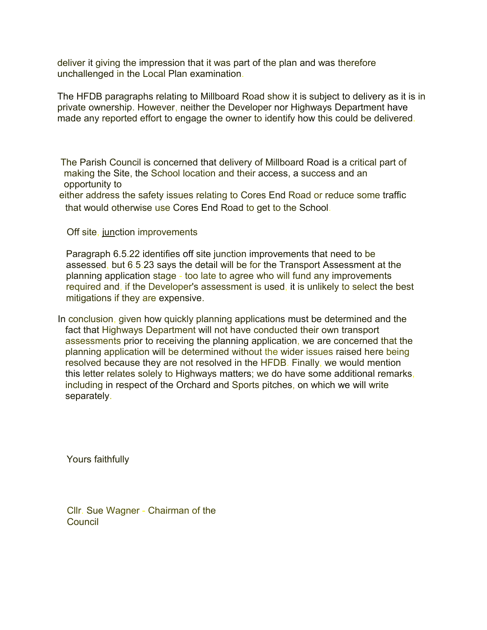deliver it giving the impression that it was part of the plan and was therefore unchallenged in the Local Plan examination.

The HFDB paragraphs relating to Millboard Road show it is subject to delivery as it is in private ownership. However, neither the Developer nor Highways Department have made any reported effort to engage the owner to identify how this could be delivered.

The Parish Council is concerned that delivery of Millboard Road is a critical part of making the Site, the School location and their access, a success and an opportunity to

either address the safety issues relating to Cores End Road or reduce some traffic that would otherwise use Cores End Road to get to the School.

Off site, junction improvements

Paragraph 6.5.22 identifies off site junction improvements that need to be assessed, but 6.5.23 says the detail will be for the Transport Assessment at the planning application stage - too late to agree who will fund any improvements required and, if the Developer's assessment is used, it is unlikely to select the best mitigations if they are expensive.

In conclusion, given how quickly planning applications must be determined and the fact that Highways Department will not have conducted their own transport assessments prior to receiving the planning application, we are concerned that the planning application will be determined without the wider issues raised here being resolved because they are not resolved in the HFDB. Finally, we would mention this letter relates solely to Highways matters; we do have some additional remarks, including in respect of the Orchard and Sports pitches, on which we will write separately.

Yours faithfully

Cllr. Sue Wagner - Chairman of the Council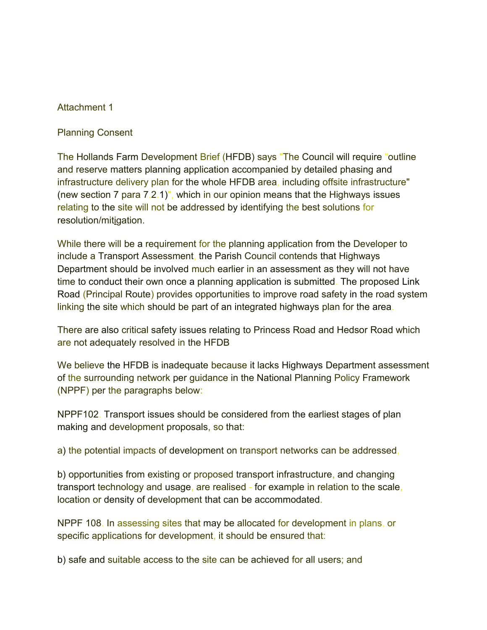### Attachment 1

Planning Consent

The Hollands Farm Development Brief (HFDB) says "The Council will require "outline and reserve matters planning application accompanied by detailed phasing and infrastructure delivery plan for the whole HFDB area, including offsite infrastructure" (new section 7 para 7.2.1)", which in our opinion means that the Highways issues relating to the site will not be addressed by identifying the best solutions for resolution/mitigation.

While there will be a requirement for the planning application from the Developer to include a Transport Assessment, the Parish Council contends that Highways Department should be involved much earlier in an assessment as they will not have time to conduct their own once a planning application is submitted. The proposed Link Road (Principal Route) provides opportunities to improve road safety in the road system linking the site which should be part of an integrated highways plan for the area.

There are also critical safety issues relating to Princess Road and Hedsor Road which are not adequately resolved in the HFDB

We believe the HFDB is inadequate because it lacks Highways Department assessment of the surrounding network per guidance in the National Planning Policy Framework (NPPF) per the paragraphs below:

NPPF102. Transport issues should be considered from the earliest stages of plan making and development proposals, so that:

a) the potential impacts of development on transport networks can be addressed,

b) opportunities from existing or proposed transport infrastructure, and changing transport technology and usage, are realised - for example in relation to the scale, location or density of development that can be accommodated.

NPPF 108. In assessing sites that may be allocated for development in plans, or specific applications for development, it should be ensured that:

b) safe and suitable access to the site can be achieved for all users; and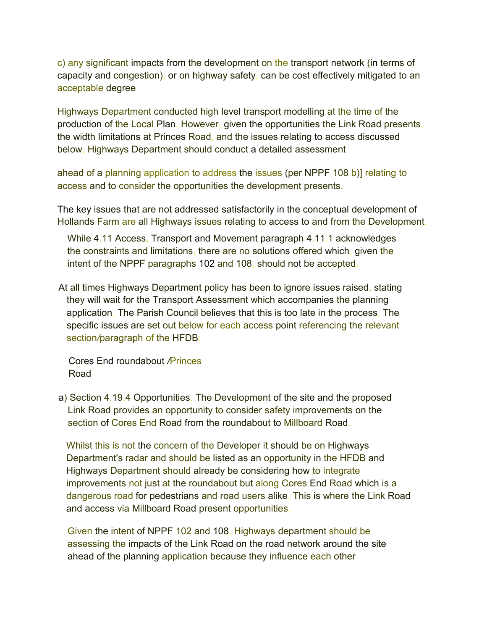c) any significant impacts from the development on the transport network (in terms of capacity and congestion), or on highway safety, can be cost effectively mitigated to an acceptable degree

Highways Department conducted high level transport modelling at the time of the production of the Local Plan. However, given the opportunities the Link Road presents, the width limitations at Princes Road, and the issues relating to access discussed below*,* Highways Department should conduct a detailed assessment

ahead of a planning application to address the issues (per NPPF 108 b)] relating to access and to consider the opportunities the development presents.

The key issues that are not addressed satisfactorily in the conceptual development of Hollands Farm are all Highways issues relating to access to and from the Development.

While 4.11 Access, Transport and Movement paragraph 4.11.1 acknowledges the constraints and limitations, there are no solutions offered which, given the intent of the NPPF paragraphs 102 and 108, should not be accepted.

At all times Highways Department policy has been to ignore issues raised, stating they will wait for the Transport Assessment which accompanies the planning application. The Parish Council believes that this is too late in the process. The specific issues are set out below for each access point referencing the relevant section*/*paragraph of the HFDB:

Cores End roundabout */*Princes Road

a) Section 4.19.4 Opportunities. The Development of the site and the proposed Link Road provides an opportunity to consider safety improvements on the section of Cores End Road from the roundabout to Millboard Road.

Whilst this is not the concern of the Developer it should be on Highways Department's radar and should be listed as an opportunity in the HFDB and Highways Department should already be considering how to integrate improvements not just at the roundabout but along Cores End Road which is a dangerous road for pedestrians and road users alike. This is where the Link Road and access via Millboard Road present opportunities.

Given the intent of NPPF 102 and 108, Highways department should be assessing the impacts of the Link Road on the road network around the site ahead of the planning application because they influence each other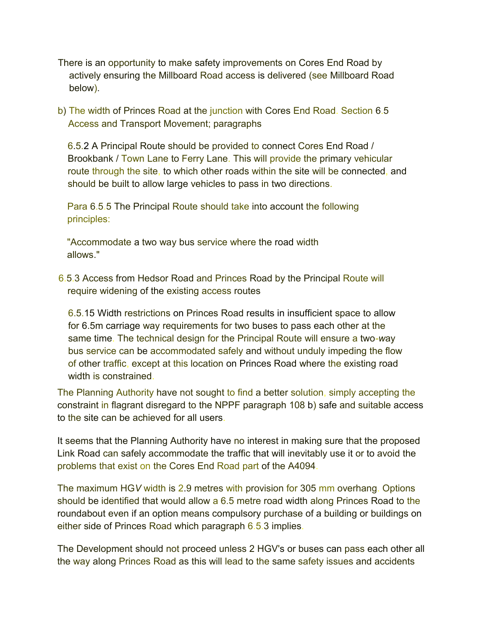- There is an opportunity to make safety improvements on Cores End Road by actively ensuring the Millboard Road access is delivered (see Millboard Road below).
- b) The width of Princes Road at the junction with Cores End Road. Section 6.5 Access and Transport Movement; paragraphs

6.5.2 A Principal Route should be provided to connect Cores End Road / Brookbank / Town Lane to Ferry Lane. This will provide the primary vehicular route through the site, to which other roads within the site will be connected, and should be built to allow large vehicles to pass in two directions.

Para 6.5.5 The Principal Route should take into account the following principles:

"Accommodate a two way bus service where the road width allows."

6.5.3 Access from Hedsor Road and Princes Road by the Principal Route will require widening of the existing access routes

6.5.15 Width restrictions on Princes Road results in insufficient space to allow for 6.5m carriage way requirements for two buses to pass each other at the same time. The technical design for the Principal Route will ensure a two*-w*ay bus service can be accommodated safely and without unduly impeding the flow of other traffic, except at this location on Princes Road where the existing road width is constrained.

The Planning Authority have not sought to find a better solution, simply accepting the constraint in flagrant disregard to the NPPF paragraph 108 b) safe and suitable access to the site can be achieved for all users.

It seems that the Planning Authority have no interest in making sure that the proposed Link Road can safely accommodate the traffic that will inevitably use it or to avoid the problems that exist on the Cores End Road part of the A4094.

The maximum HG*V* width is 2.9 metres with provision for 305 mm overhang. Options should be identified that would allow a 6.5 metre road width along Princes Road to the roundabout even if an option means compulsory purchase of a building or buildings on either side of Princes Road which paragraph 6.5.3 implies.

The Development should not proceed unless 2 HGV's or buses can pass each other all the way along Princes Road as this will lead to the same safety issues and accidents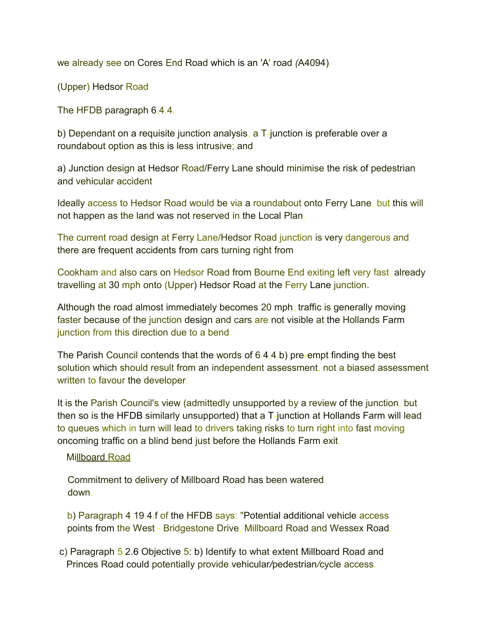we already see on Cores End Road which is an 'A' road *(*A4094).

(Upper) Hedsor Road

The HFDB paragraph 6.4.4.

b) Dependant on a requisite junction analysis, a T-junction is preferable over a roundabout option as this is less intrusive; and

a) Junction design at Hedsor Road/Ferry Lane should minimise the risk of pedestrian and vehicular accident

Ideally access to Hedsor Road would be via a roundabout onto Ferry Lane, but this will not happen as the land was not reserved in the Local Plan.

The current road design at Ferry Lane/Hedsor Road junction is very dangerous and there are frequent accidents from cars turning right from

Cookham and also cars on Hedsor Road from Bourne End exiting left very fast, already travelling at 30 mph onto (Upper) Hedsor Road at the Ferry Lane junction.

Although the road almost immediately becomes 20 mph, traffic is generally moving faster because of the junction design and cars are not visible at the Hollands Farm junction from this direction due to a bend.

The Parish Council contends that the words of 6.4.4.b) pre-empt finding the best solution which should result from an independent assessment, not a biased assessment written to favour the developer.

It is the Parish Council's view (admittedly unsupported by a review of the junction, but then so is the HFDB similarly unsupported) that a T-junction at Hollands Farm will lead to queues which in turn will lead to drivers taking risks to turn right into fast moving oncoming traffic on a blind bend just before the Hollands Farm exit.

## Millboard Road

Commitment to delivery of Millboard Road has been watered down.

b) Paragraph 4.19.4.f of the HFDB says: "Potential additional vehicle access points from the West - Bridgestone Drive, Millboard Road and Wessex Road.

c) Paragraph 5.2.6 Objective 5: b) Identify to what extent Millboard Road and Princes Road could potentially provide vehicular*/*pedestrian*/*cycle access.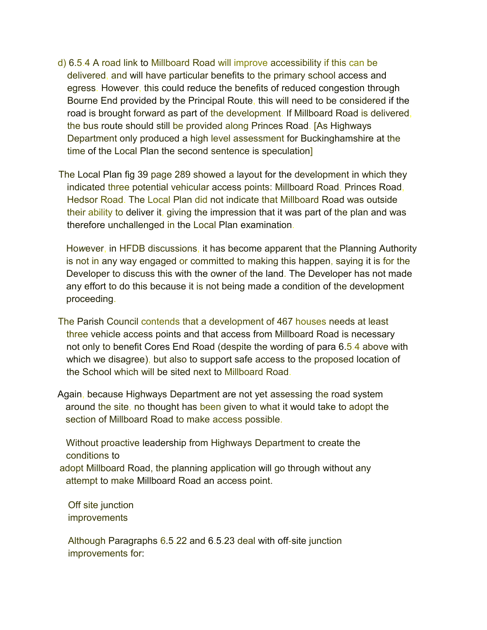- d) 6.5.4 A road link to Millboard Road will improve accessibility if this can be delivered, and will have particular benefits to the primary school access and egress. However, this could reduce the benefits of reduced congestion through Bourne End provided by the Principal Route, this will need to be considered if the road is brought forward as part of the development. If Millboard Road is delivered, the bus route should still be provided along Princes Road. [As Highways Department only produced a high level assessment for Buckinghamshire at the time of the Local Plan the second sentence is speculation]
- The Local Plan fig 39 page 289 showed a layout for the development in which they indicated three potential vehicular access points: Millboard Road, Princes Road, Hedsor Road. The Local Plan did not indicate that Millboard Road was outside their ability to deliver it, giving the impression that it was part of the plan and was therefore unchallenged in the Local Plan examination.

Ho*w*ever, in HFDB discussions, it has become apparent that the Planning Authority is not in any way engaged or committed to making this happen, saying it is for the Developer to discuss this with the owner of the land. The Developer has not made any effort to do this because it is not being made a condition of the development proceeding.

- The Parish Council contends that a development of 467 houses needs at least three vehicle access points and that access from Millboard Road is necessary not only to benefit Cores End Road (despite the wording of para 6.5.4 above with which we disagree), but also to support safe access to the proposed location of the School which will be sited next to Millboard Road.
- Again, because Highways Department are not yet assessing the road system around the site, no thought has been given to what it would take to adopt the section of Millboard Road to make access possible.

Without proactive leadership from Highways Department to create the conditions to

adopt Millboard Road, the planning application will go through without any attempt to make Millboard Road an access point.

Off site junction improvements

Although Paragraphs 6.5.22 and 6.5.23 deal with off-site junction improvements for: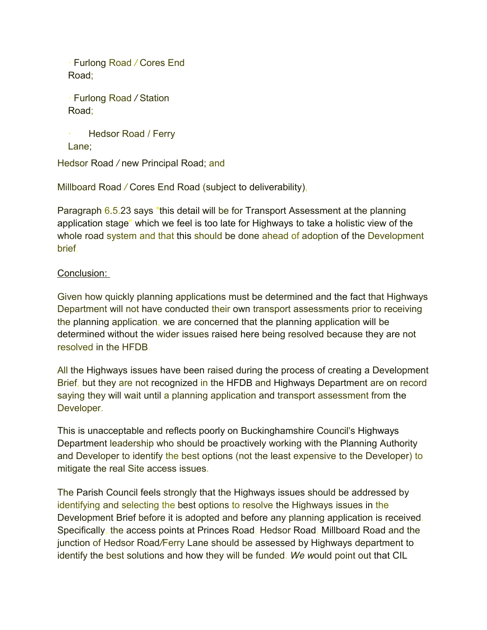· Furlong Road */* Cores End Road;

· Furlong Road */* Station Road;

```
Hedsor Road / Ferry
Lane;
```
Hedsor Road */* new Principal Road; and

Millboard Road */* Cores End Road (subject to deliverability),

Paragraph 6.5.23 says "this detail will be for Transport Assessment at the planning application stage" which we feel is too late for Highways to take a holistic view of the whole road system and that this should be done ahead of adoption of the Development brief.

# Conclusion:

Given how quickly planning applications must be determined and the fact that Highways Department will not have conducted their own transport assessments prior to receiving the planning application, we are concerned that the planning application will be determined without the wider issues raised here being resolved because they are not resolved in the HFDB.

All the Highways issues have been raised during the process of creating a Development Brief, but they are not recognized in the HFDB and Highways Department are on record saying they will wait until a planning application and transport assessment from the Developer.

This is unacceptable and reflects poorly on Buckinghamshire Council's Highways Department leadership who should be proactively working with the Planning Authority and Developer to identify the best options (not the least expensive to the Developer) to mitigate the real Site access issues.

The Parish Council feels strongly that the Highways issues should be addressed by identifying and selecting the best options to resolve the Highways issues in the Development Brief before it is adopted and before any planning application is received. Specifically, the access points at Princes Road, Hedsor Road, Millboard Road and the junction of Hedsor Road*/*Ferry Lane should be assessed by Highways department to identify the best solutions and how they will be funded. *We w*ould point out that CIL